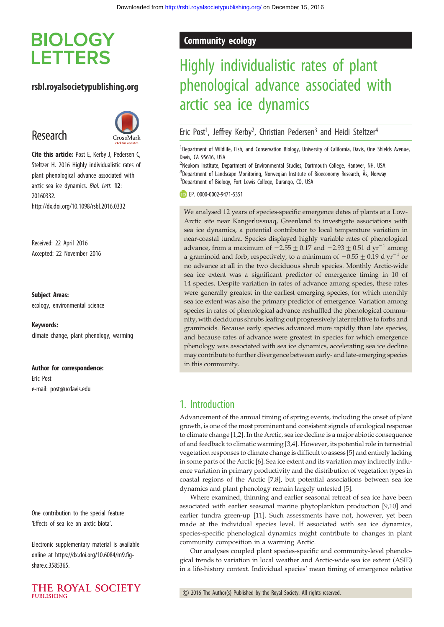## **BIOLOGY LETTERS**

### rsbl.royalsocietypublishing.org

## Research



Cite this article: Post E, Kerby J, Pedersen C, Steltzer H. 2016 Highly individualistic rates of plant phenological advance associated with arctic sea ice dynamics. Biol. Lett. 12: 20160332. http://dx.doi.org/10.1098/rsbl.2016.0332

Received: 22 April 2016 Accepted: 22 November 2016

#### Subject Areas:

ecology, environmental science

Keywords: climate change, plant phenology, warming

#### Author for correspondence:

Eric Post e-mail: [post@ucdavis.edu](mailto:post@ucdavis.edu)

One contribution to the special feature 'Effects of sea ice on arctic biota'.

Electronic supplementary material is available online at [https://dx.doi.org/10.6084/m9.fig](https://dx.doi.org/10.6084/m9.figshare.c.3585365)[share.c.3585365.](https://dx.doi.org/10.6084/m9.figshare.c.3585365)



### Community ecology

# Highly individualistic rates of plant phenological advance associated with arctic sea ice dynamics

### Eric Post<sup>1</sup>, Jeffrey Kerby<sup>2</sup>, Christian Pedersen<sup>3</sup> and Heidi Steltzer<sup>4</sup>

<sup>1</sup>Department of Wildlife, Fish, and Conservation Biology, University of California, Davis, One Shields Avenue, Davis, CA 95616, USA

<sup>2</sup>Neukom Institute, Department of Environmental Studies, Dartmouth College, Hanover, NH, USA <sup>3</sup>Department of Landscape Monitoring, Norwegian Institute of Bioeconomy Research, Ås, Norway 4 Department of Biology, Fort Lewis College, Durango, CO, USA

EP, [0000-0002-9471-5351](http://orcid.org/0000-0002-9471-5351)

We analysed 12 years of species-specific emergence dates of plants at a Low-Arctic site near Kangerlussuaq, Greenland to investigate associations with sea ice dynamics, a potential contributor to local temperature variation in near-coastal tundra. Species displayed highly variable rates of phenological advance, from a maximum of  $-2.55 \pm 0.17$  and  $-2.93 \pm 0.51$  d yr<sup>-1</sup> among a graminoid and forb, respectively, to a minimum of  $-0.55 \pm 0.19$  d yr<sup>-1</sup> or no advance at all in the two deciduous shrub species. Monthly Arctic-wide sea ice extent was a significant predictor of emergence timing in 10 of 14 species. Despite variation in rates of advance among species, these rates were generally greatest in the earliest emerging species, for which monthly sea ice extent was also the primary predictor of emergence. Variation among species in rates of phenological advance reshuffled the phenological community, with deciduous shrubs leafing out progressively later relative to forbs and graminoids. Because early species advanced more rapidly than late species, and because rates of advance were greatest in species for which emergence phenology was associated with sea ice dynamics, accelerating sea ice decline may contribute to further divergence between early- and late-emerging species in this community.

### 1. Introduction

Advancement of the annual timing of spring events, including the onset of plant growth, is one of the most prominent and consistent signals of ecological response to climate change [\[1,2\]](#page-3-0). In the Arctic, sea ice decline is a major abiotic consequence of and feedback to climatic warming [\[3](#page-3-0),[4](#page-3-0)]. However, its potential role in terrestrial vegetation responses to climate change is difficult to assess [\[5](#page-3-0)] and entirely lacking in some parts of the Arctic [[6](#page-3-0)]. Sea ice extent and its variation may indirectly influence variation in primary productivity and the distribution of vegetation types in coastal regions of the Arctic [\[7,8](#page-3-0)], but potential associations between sea ice dynamics and plant phenology remain largely untested [\[5\]](#page-3-0).

Where examined, thinning and earlier seasonal retreat of sea ice have been associated with earlier seasonal marine phytoplankton production [\[9,10](#page-3-0)] and earlier tundra green-up [\[11](#page-3-0)]. Such assessments have not, however, yet been made at the individual species level. If associated with sea ice dynamics, species-specific phenological dynamics might contribute to changes in plant community composition in a warming Arctic.

Our analyses coupled plant species-specific and community-level phenological trends to variation in local weather and Arctic-wide sea ice extent (ASIE) in a life-history context. Individual species' mean timing of emergence relative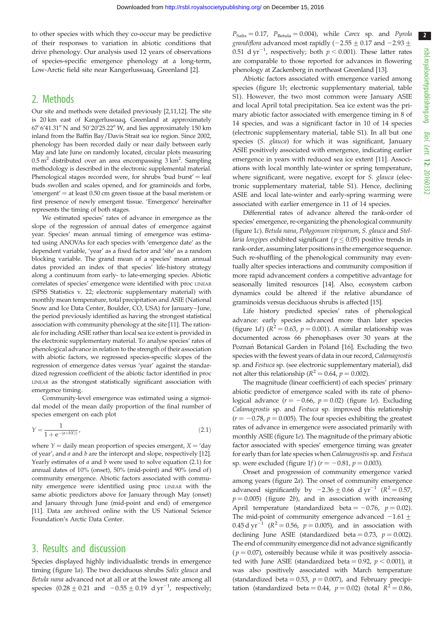to other species with which they co-occur may be predictive of their responses to variation in abiotic conditions that drive phenology. Our analysis used 12 years of observations of species-specific emergence phenology at a long-term, Low-Arctic field site near Kangerlussuaq, Greenland [\[2\]](#page-3-0).

### 2. Methods

Our site and methods were detailed previously [\[2,11,12](#page-3-0)]. The site is 20 km east of Kangerlussuaq, Greenland at approximately  $67^{\circ}6'41.31''$  N and  $50^{\circ}20'25.22''$  W, and lies approximately 150 km inland from the Baffin Bay/Davis Strait sea ice region. Since 2002, phenology has been recorded daily or near daily between early May and late June on randomly located, circular plots measuring  $0.5 \text{ m}^2$  distributed over an area encompassing  $3 \text{ km}^2$ . Sampling methodology is described in the electronic supplemental material. Phenological stages recorded were, for shrubs 'bud burst' = leaf buds swollen and scales opened, and for graminoids and forbs, 'emergent'  $=$  at least 0.50 cm green tissue at the basal meristem or first presence of newly emergent tissue. 'Emergence' hereinafter represents the timing of both stages.

We estimated species' rates of advance in emergence as the slope of the regression of annual dates of emergence against year. Species' mean annual timing of emergence was estimated using ANOVAs for each species with 'emergence date' as the dependent variable, 'year' as a fixed factor and 'site' as a random blocking variable. The grand mean of a species' mean annual dates provided an index of that species' life-history strategy along a continuum from early- to late-emerging species. Abiotic correlates of species' emergence were identified with proc LINEAR (SPSS Statistics v. 22; electronic supplementary material) with monthly mean temperature, total precipitation and ASIE (National Snow and Ice Data Center, Boulder, CO, USA) for January-June, the period previously identified as having the strongest statistical association with community phenology at the site [\[11\]](#page-3-0). The rationale for including ASIE rather than local sea ice extent is provided in the electronic supplementary material. To analyse species' rates of phenological advance in relation to the strength of their association with abiotic factors, we regressed species-specific slopes of the regression of emergence dates versus 'year' against the standardized regression coefficient of the abiotic factor identified in proc LINEAR as the strongest statistically significant association with emergence timing.

Community-level emergence was estimated using a sigmoidal model of the mean daily proportion of the final number of species emergent on each plot

$$
Y = \frac{1}{1 + e^{-(a + bX)}}
$$
\n(2.1)

where  $Y =$  daily mean proportion of species emergent,  $X =$  'day of year', and a and b are the intercept and slope, respectively [\[12\]](#page-3-0). Yearly estimates of  $a$  and  $b$  were used to solve equation (2.1) for annual dates of 10% (onset), 50% (mid-point) and 90% (end of ) community emergence. Abiotic factors associated with community emergence were identified using proc LINEAR with the same abiotic predictors above for January through May (onset) and January through June (mid-point and end) of emergence [\[11\]](#page-3-0). Data are archived online with the US National Science Foundation's Arctic Data Center.

### 3. Results and discussion

Species displayed highly individualistic trends in emergence timing ([figure 1](#page-2-0)a). The two deciduous shrubs Salix glauca and Betula nana advanced not at all or at the lowest rate among all species  $(0.28 \pm 0.21$  and  $-0.55 \pm 0.19$  d yr<sup>-1</sup>, respectively;

 $P_{\text{Salix}} = 0.17$ ,  $P_{\text{Betula}} = 0.004$ ), while Carex sp. and Pyrola *grandiflora* advanced most rapidly ( $-2.55 \pm 0.17$  and  $-2.93 \pm 1.5$ 0.51 d yr<sup>-1</sup>, respectively; both  $p < 0.001$ ). These latter rates are comparable to those reported for advances in flowering phenology at Zackenberg in northeast Greenland [[13\]](#page-3-0).

Abiotic factors associated with emergence varied among species ([figure 1](#page-2-0)b; electronic supplementary material, table S1). However, the two most common were January ASIE and local April total precipitation. Sea ice extent was the primary abiotic factor associated with emergence timing in 8 of 14 species, and was a significant factor in 10 of 14 species (electronic supplementary material, table S1). In all but one species (S. glauca) for which it was significant, January ASIE positively associated with emergence, indicating earlier emergence in years with reduced sea ice extent [[11\]](#page-3-0). Associations with local monthly late-winter or spring temperature, where significant, were negative, except for S. glauca (electronic supplementary material, table S1). Hence, declining ASIE and local late-winter and early-spring warming were associated with earlier emergence in 11 of 14 species.

Differential rates of advance altered the rank-order of species' emergence, re-organizing the phenological community ([figure 1](#page-2-0)c). Betula nana, Polygonum viviparum, S. glauca and Stellaria longipes exhibited significant ( $p \leq 0.05$ ) positive trends in rank-order, assuming later positions in the emergence sequence. Such re-shuffling of the phenological community may eventually alter species interactions and community composition if more rapid advancement confers a competitive advantage for seasonally limited resources [[14](#page-3-0)]. Also, ecosystem carbon dynamics could be altered if the relative abundance of graminoids versus deciduous shrubs is affected [[15](#page-4-0)].

Life history predicted species' rates of phenological advance: early species advanced more than later species ([figure 1](#page-2-0)*d*) ( $R^2 = 0.63$ ,  $p = 0.001$ ). A similar relationship was documented across 66 phenophases over 30 years at the Poznań Botanical Garden in Poland [\[16](#page-4-0)]. Excluding the two species with the fewest years of data in our record, Calamagrostis sp. and Festuca sp. (see electronic supplementary material), did not alter this relationship ( $R^2 = 0.64$ ,  $p = 0.002$ ).

The magnitude (linear coefficient) of each species' primary abiotic predictor of emergence scaled with its rate of phenological advance  $(r = -0.66, p = 0.02)$  [\(figure 1](#page-2-0)e). Excluding Calamagrostis sp. and Festuca sp. improved this relationship  $(r = -0.78, p = 0.005)$ . The four species exhibiting the greatest rates of advance in emergence were associated primarily with monthly ASIE ([figure 1](#page-2-0)e). The magnitude of the primary abiotic factor associated with species' emergence timing was greater for early than for late species when Calamagrostis sp. and Festuca sp. were excluded ([figure 1](#page-2-0)*f*) ( $r = -0.81$ ,  $p = 0.003$ ).

Onset and progression of community emergence varied among years [\(figure 2](#page-3-0)a). The onset of community emergence advanced significantly by  $-2.36 \pm 0.66$  d yr<sup>-1</sup> ( $R^2 = 0.57$ ,  $p = 0.005$ ) [\(figure 2](#page-3-0)b), and in association with increasing April temperature (standardized beta =  $-0.76$ ,  $p = 0.02$ ). The mid-point of community emergence advanced  $-1.61 +$ 0.45 d yr<sup>-1</sup> ( $R^2 = 0.56$ ,  $p = 0.005$ ), and in association with declining June ASIE (standardized beta = 0.73,  $p = 0.002$ ). The end of community emergence did not advance significantly  $(p = 0.07)$ , ostensibly because while it was positively associated with June ASIE (standardized beta = 0.92,  $p < 0.001$ ), it was also positively associated with March temperature (standardized beta = 0.53,  $p = 0.007$ ), and February precipitation (standardized beta = 0.44,  $p = 0.02$ ) (total  $R^2 = 0.86$ ,

 $2<sup>2</sup>$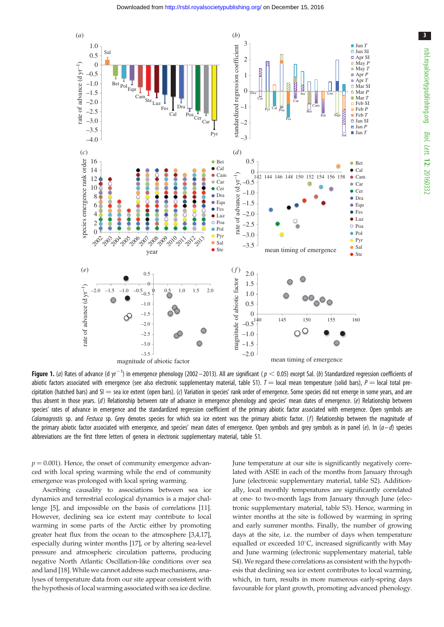<span id="page-2-0"></span>

**Figure 1.** (a) Rates of advance (d yr $^{-1}$ ) in emergence phenology (2002–2013). All are significant ( $p < 0.05$ ) except Sal. (b) Standardized regression coefficients of abiotic factors associated with emergence (see also electronic supplementary material, table S1).  $T =$  local mean temperature (solid bars),  $P =$  local total precipitation (hatched bars) and  $SI =$  sea ice extent (open bars). (c) Variation in species' rank order of emergence. Some species did not emerge in some years, and are thus absent in those years. (d) Relationship between rate of advance in emergence phenology and species' mean dates of emergence. (e) Relationship between species' rates of advance in emergence and the standardized regression coefficient of the primary abiotic factor associated with emergence. Open symbols are Calamagrostis sp. and Festuca sp. Grey denotes species for which sea ice extent was the primary abiotic factor. (f) Relationship between the magnitude of the primary abiotic factor associated with emergence, and species' mean dates of emergence. Open symbols and grey symbols as in panel (e). In ( $a-d$ ) species abbreviations are the first three letters of genera in electronic supplementary material, table S1.

 $p = 0.001$ ). Hence, the onset of community emergence advanced with local spring warming while the end of community emergence was prolonged with local spring warming.

Ascribing causality to associations between sea ice dynamics and terrestrial ecological dynamics is a major challenge [[5](#page-3-0)], and impossible on the basis of correlations [\[11](#page-3-0)]. However, declining sea ice extent may contribute to local warming in some parts of the Arctic either by promoting greater heat flux from the ocean to the atmosphere [\[3,4](#page-3-0)[,17](#page-4-0)], especially during winter months [[17\]](#page-4-0), or by altering sea-level pressure and atmospheric circulation patterns, producing negative North Atlantic Oscillation-like conditions over sea and land [\[18](#page-4-0)]. While we cannot address such mechanisms, analyses of temperature data from our site appear consistent with the hypothesis of local warming associated with sea ice decline.

June temperature at our site is significantly negatively correlated with ASIE in each of the months from January through June (electronic supplementary material, table S2). Additionally, local monthly temperatures are significantly correlated at one- to two-month lags from January through June (electronic supplementary material, table S3). Hence, warming in winter months at the site is followed by warming in spring and early summer months. Finally, the number of growing days at the site, i.e. the number of days when temperature equalled or exceeded  $10^{\circ}$ C, increased significantly with May and June warming (electronic supplementary material, table S4). We regard these correlations as consistent with the hypothesis that declining sea ice extent contributes to local warming, which, in turn, results in more numerous early-spring days favourable for plant growth, promoting advanced phenology.

3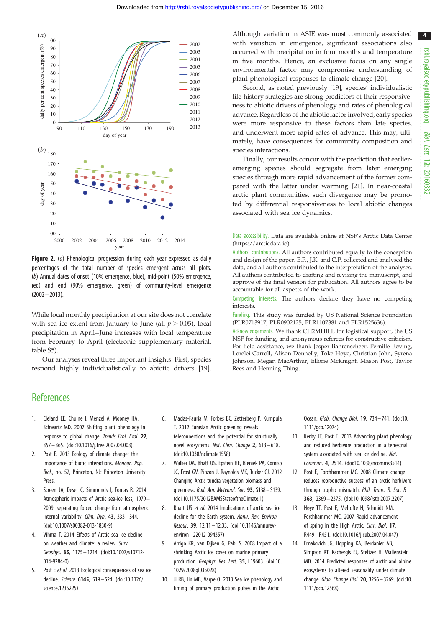4

<span id="page-3-0"></span>

Figure 2. (a) Phenological progression during each year expressed as daily percentages of the total number of species emergent across all plots. (b) Annual dates of onset (10% emergence, blue), mid-point (50% emergence, red) and end (90% emergence, green) of community-level emergence (2002–2013).

While local monthly precipitation at our site does not correlate with sea ice extent from January to June (all  $p > 0.05$ ), local precipitation in April–June increases with local temperature from February to April (electronic supplementary material, table S5).

Our analyses reveal three important insights. First, species respond highly individualistically to abiotic drivers [\[19](#page-4-0)].

Although variation in ASIE was most commonly associated with variation in emergence, significant associations also occurred with precipitation in four months and temperature in five months. Hence, an exclusive focus on any single environmental factor may compromise understanding of plant phenological responses to climate change [[20\]](#page-4-0).

Second, as noted previously [[19\]](#page-4-0), species' individualistic life-history strategies are strong predictors of their responsiveness to abiotic drivers of phenology and rates of phenological advance. Regardless of the abiotic factor involved, early species were more responsive to these factors than late species, and underwent more rapid rates of advance. This may, ultimately, have consequences for community composition and species interactions.

Finally, our results concur with the prediction that earlieremerging species should segregate from later emerging species through more rapid advancement of the former compared with the latter under warming [\[21](#page-4-0)]. In near-coastal arctic plant communities, such divergence may be promoted by differential responsiveness to local abiotic changes associated with sea ice dynamics.

Data accessibility. Data are available online at NSF's Arctic Data Center [\(https://arcticdata.io](https://arcticdata.io)).

Authors' contributions. All authors contributed equally to the conception and design of the paper. E.P., J.K. and C.P. collected and analysed the data, and all authors contributed to the interpretation of the analyses. All authors contributed to drafting and revising the manuscript, and approve of the final version for publication. All authors agree to be accountable for all aspects of the work.

Competing interests. The authors declare they have no competing interests.

Funding. This study was funded by US National Science Foundation (PLR0713917, PLR0902125, PLR1107381 and PLR1525636).

Acknowledgements. We thank CH2MHILL for logistical support, the US NSF for funding, and anonymous referees for constructive criticism. For field assistance, we thank Jesper Bahrenscheer, Pernille Bøving, Lorelei Carroll, Alison Donnelly, Toke Høye, Christian John, Syrena Johnson, Megan MacArthur, Ellorie McKnight, Mason Post, Taylor Rees and Henning Thing.

### **References**

- 1. Cleland EE, Chuine I, Menzel A, Mooney HA, Schwartz MD. 2007 Shifting plant phenology in response to global change. Trends Ecol. Evol. 22, 357– 365. ([doi:10.1016/j.tree.2007.04.003\)](http://dx.doi.org/10.1016/j.tree.2007.04.003).
- 2. Post E. 2013 Ecology of climate change: the importance of biotic interactions. Monogr. Pop. Biol., no. 52, Princeton, NJ: Princeton University Press.
- 3. Screen JA, Deser C, Simmonds I, Tomas R. 2014 Atmospheric impacts of Arctic sea-ice loss, 1979 – 2009: separating forced change from atmospheric internal variability. Clim. Dyn. 43, 333-344. [\(doi:10.1007/s00382-013-1830-9\)](http://dx.doi.org/10.1007/s00382-013-1830-9)
- 4. Vihma T. 2014 Effects of Arctic sea ice decline on weather and climate: a review. Surv. Geophys. 35, 1175– 1214. [\(doi:10.1007/s10712-](http://dx.doi.org/10.1007/s10712-014-9284-0) [014-9284-0\)](http://dx.doi.org/10.1007/s10712-014-9284-0)
- 5. Post E et al. 2013 Ecological consequences of sea ice decline. Science 6145, 519– 524. [\(doi:10.1126/](http://dx.doi.org/10.1126/science.1235225) [science.1235225\)](http://dx.doi.org/10.1126/science.1235225)
- 6. Macias-Fauria M, Forbes BC, Zetterberg P, Kumpula T. 2012 Eurasian Arctic greening reveals teleconnections and the potential for structurally novel ecosystems. Nat. Clim. Change 2, 613-618. [\(doi:10.1038/nclimate1558\)](http://dx.doi.org/10.1038/nclimate1558)
- 7. Walker DA, Bhatt US, Epstein HE, Bieniek PA, Comiso JC, Frost GV, Pinzon J, Raynolds MK, Tucker CJ. 2012 Changing Arctic tundra vegetation biomass and greenness. Bull. Am. Meteorol. Soc. 93, S138– S139. [\(doi:10.1175/2012BAMSStateoftheClimate.1](http://dx.doi.org/10.1175/2012BAMSStateoftheClimate.1))
- 8. Bhatt US et al. 2014 Implications of arctic sea ice decline for the Earth system. Annu. Rev. Environ. Resour. 39, 12.11 – 12.33. [\(doi:10.1146/annurev](http://dx.doi.org/10.1146/annurev-environ-122012-094357)[environ-122012-094357\)](http://dx.doi.org/10.1146/annurev-environ-122012-094357)
- 9. Arrigo KR, van Dijken G, Pabi S. 2008 Impact of a shrinking Arctic ice cover on marine primary production. Geophys. Res. Lett. 35, L19603. [\(doi:10.](http://dx.doi.org/10.1029/2008gl035028) [1029/2008gl035028\)](http://dx.doi.org/10.1029/2008gl035028)
- 10. Ji RB, Jin MB, Varpe O. 2013 Sea ice phenology and timing of primary production pulses in the Arctic

Ocean. Glob. Change Biol. 19, 734– 741. ([doi:10.](http://dx.doi.org/10.1111/gcb.12074) [1111/gcb.12074\)](http://dx.doi.org/10.1111/gcb.12074)

- 11. Kerby JT, Post E. 2013 Advancing plant phenology and reduced herbivore production in a terrestrial system associated with sea ice decline. Nat. Commun. 4, 2514. ([doi:10.1038/ncomms3514](http://dx.doi.org/10.1038/ncomms3514))
- 12. Post E, Forchhammer MC. 2008 Climate change reduces reproductive success of an arctic herbivore through trophic mismatch. Phil. Trans. R. Soc. B 363, 2369– 2375. ([doi:10.1098/rstb.2007.2207](http://dx.doi.org/10.1098/rstb.2007.2207))
- 13. Høye TT, Post E, Meltofte H, Schmidt NM, Forchhammer MC. 2007 Rapid advancement of spring in the High Arctic. Curr. Biol. 17, R449– R451. [\(doi:10.1016/j.cub.2007.04.047\)](http://dx.doi.org/10.1016/j.cub.2007.04.047)
- 14. Ernakovich JG, Hopping KA, Berdanier AB, Simpson RT, Kachergis EJ, Steltzer H, Wallenstein MD. 2014 Predicted responses of arctic and alpine ecosystems to altered seasonality under climate change. Glob. Change Biol. 20, 3256 – 3269. [\(doi:10.](http://dx.doi.org/10.1111/gcb.12568) [1111/gcb.12568\)](http://dx.doi.org/10.1111/gcb.12568)